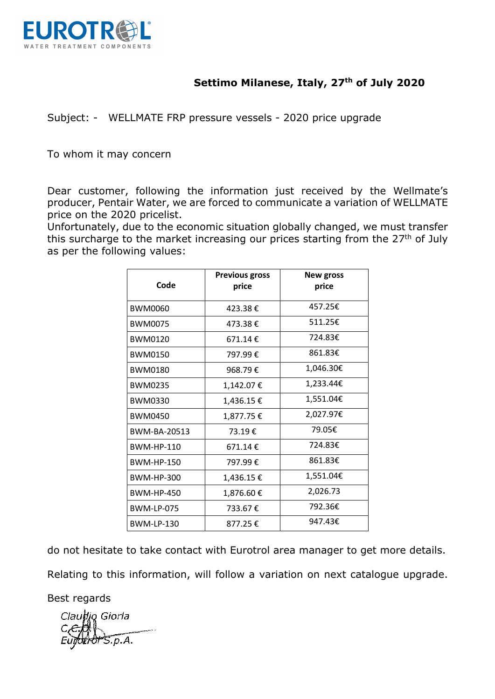

# **Settimo Milanese, Italy, 27th of July 2020**

Subject: - WELLMATE FRP pressure vessels - 2020 price upgrade

To whom it may concern

Dear customer, following the information just received by the Wellmate's producer, Pentair Water, we are forced to communicate a variation of WELLMATE price on the 2020 pricelist.

Unfortunately, due to the economic situation globally changed, we must transfer this surcharge to the market increasing our prices starting from the  $27<sup>th</sup>$  of July as per the following values:

| Code              | <b>Previous gross</b><br>price | <b>New gross</b><br>price |
|-------------------|--------------------------------|---------------------------|
| <b>BWM0060</b>    | 423.38€                        | 457.25€                   |
| <b>BWM0075</b>    | 473.38€                        | 511.25€                   |
| <b>BWM0120</b>    | $671.14 \text{ } \epsilon$     | 724.83€                   |
| <b>BWM0150</b>    | 797.99€                        | 861.83€                   |
| <b>BWM0180</b>    | 968.79€                        | 1,046.30€                 |
| <b>BWM0235</b>    | 1,142.07€                      | 1,233.44€                 |
| <b>BWM0330</b>    | 1,436.15 €                     | 1,551.04€                 |
| <b>BWM0450</b>    | 1,877.75€                      | 2,027.97€                 |
| BWM-BA-20513      | 73.19€                         | 79.05€                    |
| <b>BWM-HP-110</b> | $671.14 \t€$                   | 724.83€                   |
| <b>BWM-HP-150</b> | 797.99€                        | 861.83€                   |
| BWM-HP-300        | 1,436.15€                      | 1,551.04€                 |
| <b>BWM-HP-450</b> | 1,876.60€                      | 2,026.73                  |
| <b>BWM-LP-075</b> | 733.67€                        | 792.36€                   |
| <b>BWM-LP-130</b> | 877.25€                        | 947.43€                   |

do not hesitate to take contact with Eurotrol area manager to get more details.

Relating to this information, will follow a variation on next catalogue upgrade.

Best regards

Claudio Giorla 5.p.A.